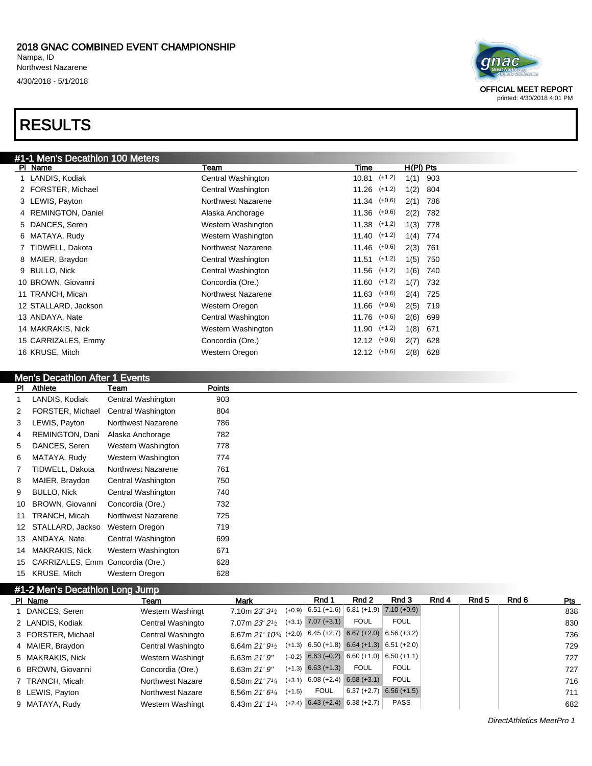#### 2018 GNAC COMBINED EVENT CHAMPIONSHIP Nampa, ID Northwest Nazarene 4/30/2018 - 5/1/2018

### RESULTS

| #1-1 Men's Decathlon 100 Meters |                    |                  |             |     |
|---------------------------------|--------------------|------------------|-------------|-----|
| PI Name                         | Team               | Time             | $H(PI)$ Pts |     |
| 1 LANDIS, Kodiak                | Central Washington | 10.81 (+1.2)     | $1(1)$ 903  |     |
| 2 FORSTER, Michael              | Central Washington | $11.26$ $(+1.2)$ | 1(2)        | 804 |
| 3 LEWIS, Payton                 | Northwest Nazarene | $11.34$ $(+0.6)$ | 2(1)        | 786 |
| 4 REMINGTON, Daniel             | Alaska Anchorage   | $11.36$ $(+0.6)$ | 2(2) 782    |     |
| 5 DANCES, Seren                 | Western Washington | $11.38$ $(+1.2)$ | $1(3)$ 778  |     |
| 6 MATAYA, Rudy                  | Western Washington | $11.40$ $(+1.2)$ | $1(4)$ 774  |     |
| 7 TIDWELL, Dakota               | Northwest Nazarene | $11.46$ $(+0.6)$ | 2(3)        | 761 |
| 8 MAIER, Braydon                | Central Washington | $11.51$ $(+1.2)$ | 1(5)        | 750 |
| 9 BULLO, Nick                   | Central Washington | $11.56$ $(+1.2)$ | 1(6)        | 740 |
| 10 BROWN, Giovanni              | Concordia (Ore.)   | $11.60$ $(+1.2)$ | 1(7)        | 732 |
| 11 TRANCH, Micah                | Northwest Nazarene | $11.63$ $(+0.6)$ | 2(4) 725    |     |
| 12 STALLARD, Jackson            | Western Oregon     | $11.66$ $(+0.6)$ | 2(5) 719    |     |
| 13 ANDAYA, Nate                 | Central Washington | $11.76$ $(+0.6)$ | 2(6) 699    |     |
| 14 MAKRAKIS, Nick               | Western Washington | $11.90$ $(+1.2)$ | 1(8)        | 671 |
| 15 CARRIZALES, Emmy             | Concordia (Ore.)   | $12.12$ $(+0.6)$ | 2(7)        | 628 |
| 16 KRUSE, Mitch                 | Western Oregon     | $12.12$ $(+0.6)$ | 2(8)        | 628 |

### Men's Decathlon After 1 Events

| PI | Athlete                | Team               | Points |
|----|------------------------|--------------------|--------|
| 1  | LANDIS, Kodiak         | Central Washington | 903    |
| 2  | FORSTER, Michael       | Central Washington | 804    |
| 3  | LEWIS, Payton          | Northwest Nazarene | 786    |
| 4  | REMINGTON, Dani        | Alaska Anchorage   | 782    |
| 5  | DANCES, Seren          | Western Washington | 778    |
| 6  | MATAYA, Rudy           | Western Washington | 774    |
| 7  | TIDWELL, Dakota        | Northwest Nazarene | 761    |
| 8  | MAIER, Braydon         | Central Washington | 750    |
| 9  | <b>BULLO, Nick</b>     | Central Washington | 740    |
| 10 | <b>BROWN, Giovanni</b> | Concordia (Ore.)   | 732    |
| 11 | TRANCH, Micah          | Northwest Nazarene | 725    |
| 12 | STALLARD, Jackso       | Western Oregon     | 719    |
| 13 | ANDAYA, Nate           | Central Washington | 699    |
| 14 | <b>MAKRAKIS, Nick</b>  | Western Washington | 671    |
| 15 | CARRIZALES, Emm        | Concordia (Ore.)   | 628    |
| 15 | <b>KRUSE, Mitch</b>    | Western Oregon     | 628    |

| #1-2 Men's Decathlon Long Jump |                         |                                                           |          |               |                                      |                                                    |       |       |       |     |
|--------------------------------|-------------------------|-----------------------------------------------------------|----------|---------------|--------------------------------------|----------------------------------------------------|-------|-------|-------|-----|
| PI Name                        | Team                    | Mark                                                      |          | Rnd 1         | Rnd 2                                | Rnd 3                                              | Rnd 4 | Rnd 5 | Rnd 6 | Pts |
| DANCES, Seren                  | Western Washingt        | 7.10m $23'3'$                                             |          |               |                                      | $(+0.9)$ 6.51 $(+1.6)$ 6.81 $(+1.9)$ 7.10 $(+0.9)$ |       |       |       | 838 |
| 2 LANDIS, Kodiak               | Central Washingto       | 7.07m 23' 21/2                                            | $(+3.1)$ | $7.07 (+3.1)$ | <b>FOUL</b>                          | <b>FOUL</b>                                        |       |       |       | 830 |
| 3 FORSTER, Michael             | Central Washingto       | 6.67m 21' 1034 (+2.0) 6.45 (+2.7) 6.67 (+2.0) 6.56 (+3.2) |          |               |                                      |                                                    |       |       |       | 736 |
| 4 MAIER, Braydon               | Central Washingto       | 6.64m $21'9\frac{1}{2}$                                   |          |               |                                      | $(+1.3)$ 6.50 (+1.8) 6.64 (+1.3) 6.51 (+2.0)       |       |       |       | 729 |
| 5 MAKRAKIS, Nick               | Western Washingt        | 6.63m $21'9''$                                            | $(-0.2)$ |               |                                      | $6.63$ (-0.2) 6.60 (+1.0) 6.50 (+1.1)              |       |       |       | 727 |
| 6 BROWN, Giovanni              | Concordia (Ore.)        | 6.63m $21'9''$                                            | $(+1.3)$ | $6.63 (+1.3)$ | <b>FOUL</b>                          | FOUL                                               |       |       |       | 727 |
| 7 TRANCH, Micah                | Northwest Nazare        | 6.58m $21'$ 7 <sup>1</sup> / <sub>4</sub>                 | $(+3.1)$ |               | $6.08 (+2.4) 6.58 (+3.1)$            | <b>FOUL</b>                                        |       |       |       | 716 |
| 8 LEWIS, Payton                | <b>Northwest Nazare</b> | 6.56m $21'6''$                                            | $(+1.5)$ | <b>FOUL</b>   | $6.37 (+2.7)$                        | $6.56(+1.5)$                                       |       |       |       | 711 |
| 9 MATAYA, Rudy                 | Western Washingt        | 6.43m $21'$ 1 <sup>1</sup> / <sub>4</sub>                 |          |               | $(+2.4)$ 6.43 $(+2.4)$ 6.38 $(+2.7)$ | <b>PASS</b>                                        |       |       |       | 682 |

DirectAthletics MeetPro 1



printed: 4/30/2018 4:01 PM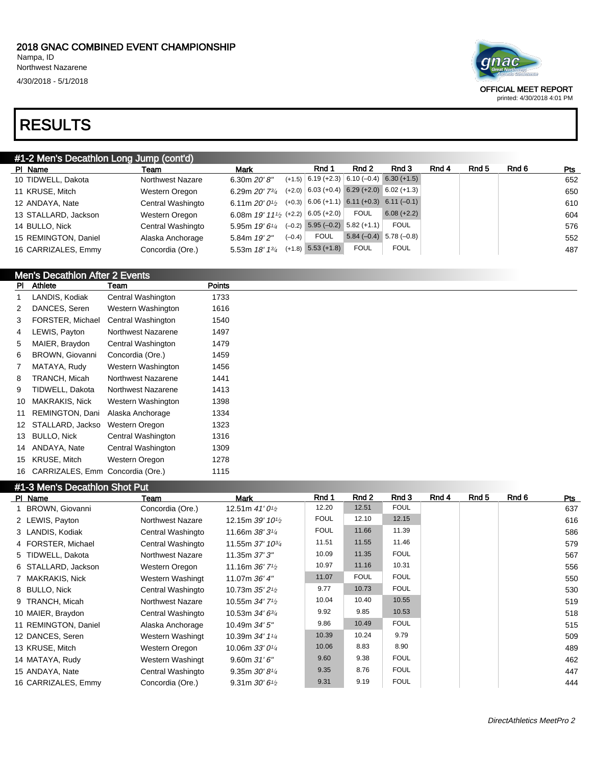4/30/2018 - 5/1/2018

### RE

| <b>I RESULTS</b>                        |                   |                             |          |                                                    |                           |               |       |       |       |     |  |
|-----------------------------------------|-------------------|-----------------------------|----------|----------------------------------------------------|---------------------------|---------------|-------|-------|-------|-----|--|
| #1-2 Men's Decathlon Long Jump (cont'd) |                   |                             |          |                                                    |                           |               |       |       |       |     |  |
| PI Name                                 | Team              | Mark                        |          | Rnd 1                                              | Rnd 2                     | Rnd 3         | Rnd 4 | Rnd 5 | Rnd 6 | Pts |  |
| 10 TIDWELL, Dakota                      | Northwest Nazare  | 6.30m $20'8''$              |          | $(+1.5)$ 6.19 (+2.3) 6.10 (-0.4) 6.30 (+1.5)       |                           |               |       |       |       | 652 |  |
| 11 KRUSE, Mitch                         | Western Oregon    | 6.29m $20'$ 7 $\frac{3}{4}$ |          | $(+2.0)$ 6.03 (+0.4) 6.29 (+2.0) 6.02 (+1.3)       |                           |               |       |       |       | 650 |  |
| 12 ANDAYA, Nate                         | Central Washingto | 6.11m $20'0\%$              |          | $(+0.3)$ 6.06 $(+1.1)$ 6.11 $(+0.3)$ 6.11 $(-0.1)$ |                           |               |       |       |       | 610 |  |
| 13 STALLARD, Jackson                    | Western Oregon    | 6.08m 19' 111/2 (+2.2)      |          | $6.05 (+2.0)$                                      | <b>FOUL</b>               | $6.08 (+2.2)$ |       |       |       | 604 |  |
| 14 BULLO, Nick                          | Central Washingto | 5.95m $19'6''$              | $(-0.2)$ |                                                    | $5.95 (-0.2) 5.82 (+1.1)$ | <b>FOUL</b>   |       |       |       | 576 |  |
| 15 REMINGTON, Daniel                    | Alaska Anchorage  | 5.84m 19'2"                 | $(-0.4)$ | <b>FOUL</b>                                        | $5.84(-0.4)$              | $5.78(-0.8)$  |       |       |       | 552 |  |
| 16 CARRIZALES, Emmy                     | Concordia (Ore.)  | 5.53m 18' 13/4              |          | $(+1.8)$ 5.53 $(+1.8)$                             | <b>FOUL</b>               | <b>FOUL</b>   |       |       |       | 487 |  |

### Men's Decathlon After 2 Events

| PI | Athlete                | Team               | Points |  |
|----|------------------------|--------------------|--------|--|
| 1  | LANDIS, Kodiak         | Central Washington | 1733   |  |
| 2  | DANCES, Seren          | Western Washington | 1616   |  |
| 3  | FORSTER, Michael       | Central Washington | 1540   |  |
| 4  | LEWIS, Payton          | Northwest Nazarene | 1497   |  |
| 5  | MAIER, Braydon         | Central Washington | 1479   |  |
| 6  | <b>BROWN, Giovanni</b> | Concordia (Ore.)   | 1459   |  |
| 7  | MATAYA, Rudy           | Western Washington | 1456   |  |
| 8  | TRANCH, Micah          | Northwest Nazarene | 1441   |  |
| 9  | TIDWELL, Dakota        | Northwest Nazarene | 1413   |  |
| 10 | <b>MAKRAKIS, Nick</b>  | Western Washington | 1398   |  |
| 11 | REMINGTON, Dani        | Alaska Anchorage   | 1334   |  |
| 12 | STALLARD, Jackso       | Western Oregon     | 1323   |  |
| 13 | <b>BULLO, Nick</b>     | Central Washington | 1316   |  |
| 14 | ANDAYA, Nate           | Central Washington | 1309   |  |
| 15 | KRUSE, Mitch           | Western Oregon     | 1278   |  |
| 16 | CARRIZALES, Emm        | Concordia (Ore.)   | 1115   |  |

### #1-3 Men's Decathlon Shot Put

| PI Name | <b>Sinon's Booking Profit of</b> | Team                    | Mark                                        | Rnd 1       | Rnd 2       | Rnd 3       | Rnd 4 | Rnd 5 | Rnd 6 | <b>Pts</b> |
|---------|----------------------------------|-------------------------|---------------------------------------------|-------------|-------------|-------------|-------|-------|-------|------------|
|         | 1 BROWN, Giovanni                | Concordia (Ore.)        | 12.51m $41'0^{1/2}$                         | 12.20       | 12.51       | <b>FOUL</b> |       |       |       | 637        |
|         | 2 LEWIS, Payton                  | <b>Northwest Nazare</b> | 12.15m $39'$ 10 <sup>1</sup> / <sub>2</sub> | <b>FOUL</b> | 12.10       | 12.15       |       |       |       | 616        |
|         | 3 LANDIS, Kodiak                 | Central Washingto       | 11.66m 38' 3 <sup>1/4</sup>                 | <b>FOUL</b> | 11.66       | 11.39       |       |       |       | 586        |
|         | 4 FORSTER, Michael               | Central Washingto       | 11.55m 37' 10 <sup>3</sup> / <sub>4</sub>   | 11.51       | 11.55       | 11.46       |       |       |       | 579        |
|         | 5 TIDWELL, Dakota                | <b>Northwest Nazare</b> | 11.35m 37' 3"                               | 10.09       | 11.35       | <b>FOUL</b> |       |       |       | 567        |
|         | 6 STALLARD, Jackson              | Western Oregon          | 11.16m $36'$ 7 <sup>1</sup> / <sub>2</sub>  | 10.97       | 11.16       | 10.31       |       |       |       | 556        |
|         | 7 MAKRAKIS, Nick                 | Western Washingt        | 11.07m 36' 4"                               | 11.07       | <b>FOUL</b> | <b>FOUL</b> |       |       |       | 550        |
|         | 8 BULLO, Nick                    | Central Washingto       | 10.73m $35'2\frac{1}{2}$                    | 9.77        | 10.73       | <b>FOUL</b> |       |       |       | 530        |
|         | 9 TRANCH, Micah                  | <b>Northwest Nazare</b> | 10.55m $34'7'$                              | 10.04       | 10.40       | 10.55       |       |       |       | 519        |
|         | 10 MAIER, Braydon                | Central Washingto       | 10.53m $34'6^{3}/4$                         | 9.92        | 9.85        | 10.53       |       |       |       | 518        |
|         | 11 REMINGTON, Daniel             | Alaska Anchorage        | 10.49m 34' 5"                               | 9.86        | 10.49       | <b>FOUL</b> |       |       |       | 515        |
|         | 12 DANCES, Seren                 | Western Washingt        | 10.39m 34' 11/4                             | 10.39       | 10.24       | 9.79        |       |       |       | 509        |
|         | 13 KRUSE, Mitch                  | Western Oregon          | 10.06m $33'0\frac{1}{4}$                    | 10.06       | 8.83        | 8.90        |       |       |       | 489        |
|         | 14 MATAYA, Rudy                  | Western Washingt        | 9.60m31'6''                                 | 9.60        | 9.38        | <b>FOUL</b> |       |       |       | 462        |
|         | 15 ANDAYA, Nate                  | Central Washingto       | 9.35m $30'8'4$                              | 9.35        | 8.76        | <b>FOUL</b> |       |       |       | 447        |
|         | 16 CARRIZALES, Emmy              | Concordia (Ore.)        | 9.31m $30'6\frac{1}{2}$                     | 9.31        | 9.19        | <b>FOUL</b> |       |       |       | 444        |



OFFICIAL MEET REPORT

printed: 4/30/2018 4:01 PM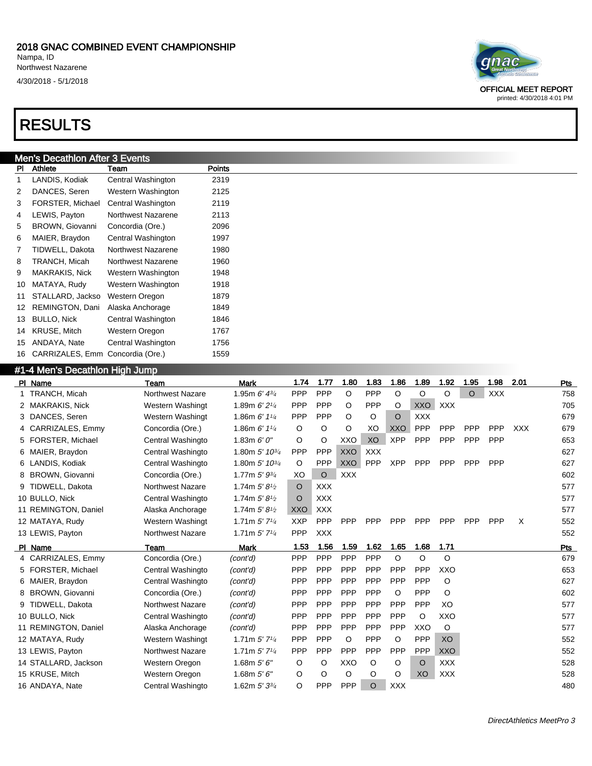#### 2018 GNAC COMBINED EVENT CHAMPIONSHIP Nampa, ID

Northwest Nazarene

4/30/2018 - 5/1/2018

### RESULTS

### Men's Decathlon After 3 Events

| PI | Athlete                | Team               | Points |
|----|------------------------|--------------------|--------|
| 1  | LANDIS, Kodiak         | Central Washington | 2319   |
| 2  | DANCES, Seren          | Western Washington | 2125   |
| 3  | FORSTER, Michael       | Central Washington | 2119   |
| 4  | LEWIS, Payton          | Northwest Nazarene | 2113   |
| 5  | <b>BROWN, Giovanni</b> | Concordia (Ore.)   | 2096   |
| 6  | MAIER, Braydon         | Central Washington | 1997   |
| 7  | TIDWELL, Dakota        | Northwest Nazarene | 1980   |
| 8  | TRANCH, Micah          | Northwest Nazarene | 1960   |
| 9  | MAKRAKIS, Nick         | Western Washington | 1948   |
| 10 | MATAYA, Rudy           | Western Washington | 1918   |
| 11 | STALLARD, Jackso       | Western Oregon     | 1879   |
| 12 | REMINGTON, Dani        | Alaska Anchorage   | 1849   |
| 13 | <b>BULLO, Nick</b>     | Central Washington | 1846   |
| 14 | KRUSE, Mitch           | Western Oregon     | 1767   |
| 15 | ANDAYA, Nate           | Central Washington | 1756   |
| 16 | CARRIZALES, Emm        | Concordia (Ore.)   | 1559   |

#### #1-4 Men's Decathlon High Jump

| PI Name              | Team                    | <b>Mark</b>                               | 1.74       | 1.77       | 1.80       | 1.83       | 1.86       | 1.89       | 1.92       | 1.95       | 1.98       | 2.01       | Pts |
|----------------------|-------------------------|-------------------------------------------|------------|------------|------------|------------|------------|------------|------------|------------|------------|------------|-----|
| 1 TRANCH, Micah      | <b>Northwest Nazare</b> | 1.95m $6'$ 4 $\frac{3}{4}$                | PPP        | PPP        | $\circ$    | PPP        | $\circ$    | $\circ$    | $\circ$    | $\Omega$   | <b>XXX</b> |            | 758 |
| 2 MAKRAKIS, Nick     | Western Washingt        | 1.89m $6'2''$                             | <b>PPP</b> | PPP        | O          | <b>PPP</b> | O          | <b>XXO</b> | <b>XXX</b> |            |            |            | 705 |
| 3 DANCES, Seren      | Western Washingt        | 1.86m $6'$ 1 $\frac{1}{4}$                | <b>PPP</b> | PPP        | $\circ$    | O          | O          | <b>XXX</b> |            |            |            |            | 679 |
| 4 CARRIZALES, Emmy   | Concordia (Ore.)        | 1.86m $6'$ 1 $\frac{1}{4}$                | $\circ$    | O          | $\circ$    | XO         | <b>XXO</b> | <b>PPP</b> | <b>PPP</b> | PPP        | <b>PPP</b> | <b>XXX</b> | 679 |
| 5 FORSTER, Michael   | Central Washingto       | 1.83m $6'0''$                             | O          | O          | XXO        | XO         | <b>XPP</b> | PPP        | PPP        | PPP        | PPP        |            | 653 |
| 6 MAIER, Braydon     | Central Washingto       | 1.80m 5' 10 <sup>3/4</sup>                | <b>PPP</b> | PPP        | <b>XXO</b> | <b>XXX</b> |            |            |            |            |            |            | 627 |
| 6 LANDIS, Kodiak     | Central Washingto       | 1.80m 5' 10 <sup>3/4</sup>                | $\circ$    | PPP        | <b>XXO</b> | PPP        | <b>XPP</b> | PPP        | PPP        | <b>PPP</b> | <b>PPP</b> |            | 627 |
| 8 BROWN, Giovanni    | Concordia (Ore.)        | 1.77m 5' 93/4                             | XO         | $\circ$    | <b>XXX</b> |            |            |            |            |            |            |            | 602 |
| 9 TIDWELL, Dakota    | Northwest Nazare        | 1.74m $5'81/2$                            | $\circ$    | <b>XXX</b> |            |            |            |            |            |            |            |            | 577 |
| 10 BULLO, Nick       | Central Washingto       | 1.74m $5'8^{1/2}$                         | $\circ$    | <b>XXX</b> |            |            |            |            |            |            |            |            | 577 |
| 11 REMINGTON, Daniel | Alaska Anchorage        | 1.74m $5'8^{1/2}$                         | <b>XXO</b> | <b>XXX</b> |            |            |            |            |            |            |            |            | 577 |
| 12 MATAYA, Rudy      | Western Washingt        | 1.71m $5'$ 7 <sup>1/4</sup>               | <b>XXP</b> | PPP        | PPP        | PPP        | <b>PPP</b> | PPP        | PPP        | <b>PPP</b> | <b>PPP</b> | X          | 552 |
| 13 LEWIS, Payton     | <b>Northwest Nazare</b> | 1.71m $5'$ 7 <sup>1/4</sup>               | <b>PPP</b> | <b>XXX</b> |            |            |            |            |            |            |            |            | 552 |
| PI Name              | Team                    | <b>Mark</b>                               | 1.53       | 1.56       | 1.59       | 1.62       | 1.65       | 1.68       | 1.71       |            |            |            | Pts |
| 4 CARRIZALES, Emmy   | Concordia (Ore.)        | (cont'd)                                  | <b>PPP</b> | PPP        | PPP        | PPP        | $\circ$    | $\circ$    | O          |            |            |            | 679 |
| 5 FORSTER, Michael   | Central Washingto       | (cont'd)                                  | <b>PPP</b> | PPP        | PPP        | PPP        | PPP        | PPP        | XXO        |            |            |            | 653 |
| 6 MAIER, Braydon     | Central Washingto       | (cont'd)                                  | PPP        | PPP        | PPP        | PPP        | <b>PPP</b> | PPP        | O          |            |            |            | 627 |
| 8 BROWN, Giovanni    | Concordia (Ore.)        | (cont'd)                                  | PPP        | PPP        | PPP        | PPP        | $\circ$    | PPP        | O          |            |            |            | 602 |
| 9 TIDWELL, Dakota    | <b>Northwest Nazare</b> | (cont'd)                                  | <b>PPP</b> | PPP        | <b>PPP</b> | <b>PPP</b> | <b>PPP</b> | PPP        | XO         |            |            |            | 577 |
| 10 BULLO, Nick       | Central Washingto       | (cont'd)                                  | <b>PPP</b> | PPP        | PPP        | PPP        | PPP        | $\circ$    | <b>XXO</b> |            |            |            | 577 |
| 11 REMINGTON, Daniel | Alaska Anchorage        | (cont'd)                                  | <b>PPP</b> | PPP        | PPP        | PPP        | <b>PPP</b> | <b>XXO</b> | O          |            |            |            | 577 |
| 12 MATAYA, Rudy      | Western Washingt        | 1.71m $5'$ $7'$ <sup><math>4</math></sup> | <b>PPP</b> | PPP        | $\circ$    | <b>PPP</b> | O          | PPP        | XO         |            |            |            | 552 |
| 13 LEWIS, Payton     | Northwest Nazare        | 1.71m $5'$ 7 <sup>1/4</sup>               | PPP        | PPP        | PPP        | PPP        | PPP        | PPP        | <b>XXO</b> |            |            |            | 552 |
| 14 STALLARD, Jackson | Western Oregon          | 1.68m $5'6''$                             | O          | O          | XXO        | O          | O          | $\circ$    | <b>XXX</b> |            |            |            | 528 |
| 15 KRUSE, Mitch      | Western Oregon          | 1.68m $5'6''$                             | O          | O          | O          | O          | O          | XO         | <b>XXX</b> |            |            |            | 528 |
| 16 ANDAYA, Nate      | Central Washingto       | 1.62m $5'3^{3/4}$                         | O          | <b>PPP</b> | PPP        | O          | <b>XXX</b> |            |            |            |            |            | 480 |



OFFICIAL MEET REPORT printed: 4/30/2018 4:01 PM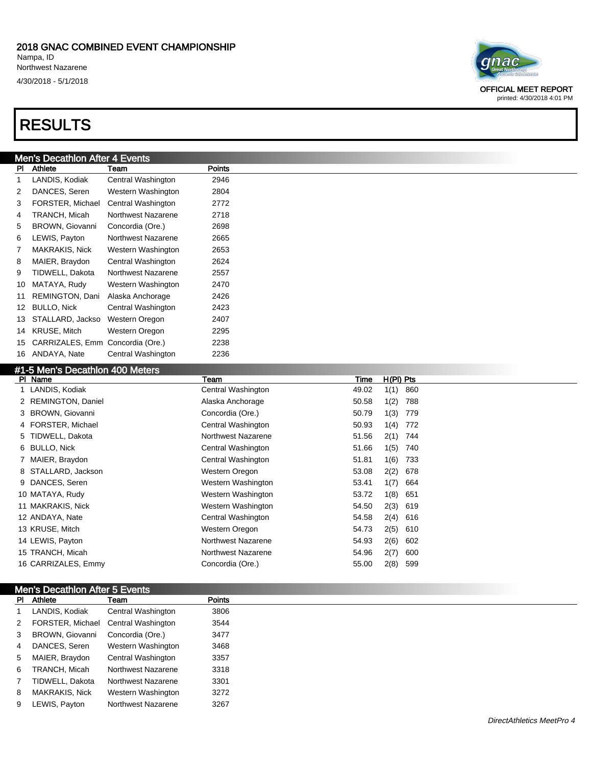#### 2018 GNAC COMBINED EVENT CHAMPIONSHIP Nampa, ID

Northwest Nazarene

4/30/2018 - 5/1/2018

### RESULTS

### Men's Decathlon After 4 Events

| PI | Athlete                | Team               | Points |
|----|------------------------|--------------------|--------|
| 1  | LANDIS, Kodiak         | Central Washington | 2946   |
| 2  | DANCES, Seren          | Western Washington | 2804   |
| 3  | FORSTER, Michael       | Central Washington | 2772   |
| 4  | TRANCH, Micah          | Northwest Nazarene | 2718   |
| 5  | <b>BROWN, Giovanni</b> | Concordia (Ore.)   | 2698   |
| 6  | LEWIS, Payton          | Northwest Nazarene | 2665   |
| 7  | MAKRAKIS, Nick         | Western Washington | 2653   |
| 8  | MAIER, Braydon         | Central Washington | 2624   |
| 9  | TIDWELL, Dakota        | Northwest Nazarene | 2557   |
| 10 | MATAYA, Rudy           | Western Washington | 2470   |
| 11 | REMINGTON, Dani        | Alaska Anchorage   | 2426   |
| 12 | <b>BULLO, Nick</b>     | Central Washington | 2423   |
| 13 | STALLARD, Jackso       | Western Oregon     | 2407   |
| 14 | KRUSE, Mitch           | Western Oregon     | 2295   |
| 15 | CARRIZALES, Emm        | Concordia (Ore.)   | 2238   |
| 16 | ANDAYA, Nate           | Central Washington | 2236   |

### -5 Men's Decathlon 400 Meters

| $\pi$ is over a because from the central $\pi$ |                    |       |             |
|------------------------------------------------|--------------------|-------|-------------|
| PI Name                                        | Team               | Time  | $H(PI)$ Pts |
| 1 LANDIS, Kodiak                               | Central Washington | 49.02 | 860<br>1(1) |
| 2 REMINGTON, Daniel                            | Alaska Anchorage   | 50.58 | 1(2)<br>788 |
| 3 BROWN, Giovanni                              | Concordia (Ore.)   | 50.79 | 1(3)<br>779 |
| 4 FORSTER, Michael                             | Central Washington | 50.93 | 1(4)<br>772 |
| 5 TIDWELL, Dakota                              | Northwest Nazarene | 51.56 | 2(1)<br>744 |
| 6 BULLO, Nick                                  | Central Washington | 51.66 | 1(5)<br>740 |
| 7 MAIER, Braydon                               | Central Washington | 51.81 | 1(6)<br>733 |
| 8 STALLARD, Jackson                            | Western Oregon     | 53.08 | 2(2)<br>678 |
| 9 DANCES, Seren                                | Western Washington | 53.41 | 1(7)<br>664 |
| 10 MATAYA, Rudy                                | Western Washington | 53.72 | 1(8)<br>651 |
| 11 MAKRAKIS, Nick                              | Western Washington | 54.50 | 2(3)<br>619 |
| 12 ANDAYA, Nate                                | Central Washington | 54.58 | $2(4)$ 616  |
| 13 KRUSE, Mitch                                | Western Oregon     | 54.73 | 2(5)<br>610 |
| 14 LEWIS, Payton                               | Northwest Nazarene | 54.93 | 2(6)<br>602 |
| 15 TRANCH, Micah                               | Northwest Nazarene | 54.96 | 2(7)<br>600 |
| 16 CARRIZALES, Emmy                            | Concordia (Ore.)   | 55.00 | 2(8)<br>599 |
|                                                |                    |       |             |

|              | Men's Decathlon After 5 Events |                           |               |  |  |  |
|--------------|--------------------------------|---------------------------|---------------|--|--|--|
|              | PI Athlete                     | Team                      | <b>Points</b> |  |  |  |
|              | LANDIS, Kodiak                 | Central Washington        | 3806          |  |  |  |
| 2            | FORSTER, Michael               | Central Washington        | 3544          |  |  |  |
| 3            | BROWN, Giovanni                | Concordia (Ore.)          | 3477          |  |  |  |
| 4            | DANCES, Seren                  | Western Washington        | 3468          |  |  |  |
| 5            | MAIER, Braydon                 | Central Washington        | 3357          |  |  |  |
| 6            | TRANCH, Micah                  | <b>Northwest Nazarene</b> | 3318          |  |  |  |
| $\mathbf{7}$ | TIDWELL, Dakota                | <b>Northwest Nazarene</b> | 3301          |  |  |  |
| 8            | <b>MAKRAKIS, Nick</b>          | Western Washington        | 3272          |  |  |  |
| 9            | LEWIS, Payton                  | Northwest Nazarene        | 3267          |  |  |  |
|              |                                |                           |               |  |  |  |



OFFICIAL MEET REPORT printed: 4/30/2018 4:01 PM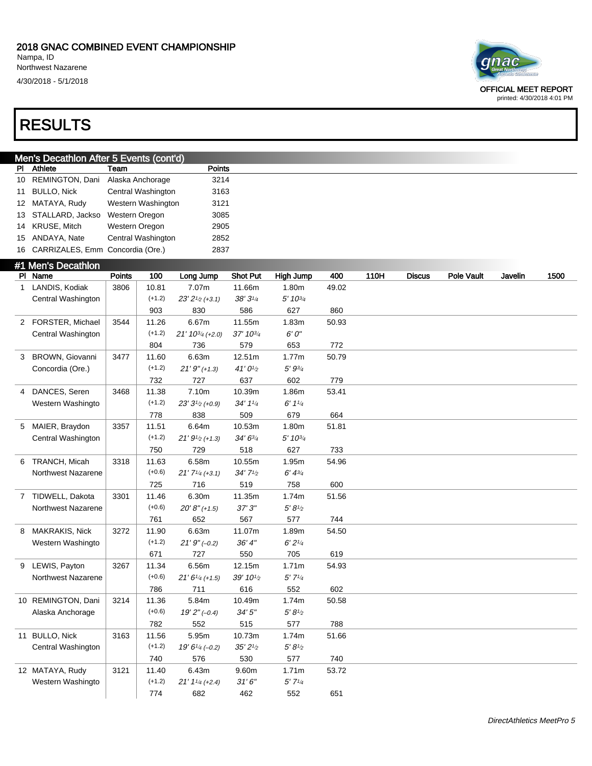Northwest Nazarene

4/30/2018 - 5/1/2018

## qnac

OFFICIAL MEET REPORT printed: 4/30/2018 4:01 PM

### RESULTS

| Men's Decathlon After 5 Events (cont'd) |                                     |      |        |  |  |  |  |  |
|-----------------------------------------|-------------------------------------|------|--------|--|--|--|--|--|
|                                         | <b>PI</b> Athlete                   | Team | Points |  |  |  |  |  |
|                                         | 10 REMINGTON, Dani Alaska Anchorage |      | 3214   |  |  |  |  |  |

|    | <u>10 INLIVIIINOTON, Daili Alaska Alicholago</u> |                    | ᇰᄼ   |
|----|--------------------------------------------------|--------------------|------|
| 11 | <b>BULLO, Nick</b>                               | Central Washington | 3163 |
|    | 12 MATAYA, Rudy                                  | Western Washington | 3121 |
|    | 13 STALLARD, Jackso Western Oregon               |                    | 3085 |
|    | 14 KRUSE, Mitch                                  | Western Oregon     | 2905 |
|    | 15 ANDAYA, Nate                                  | Central Washington | 2852 |
|    | 16 CARRIZALES, Emm Concordia (Ore.)              |                    | 2837 |

### #1 Men's Decathlon

|   | PI Name            | Points | 100      | Long Jump                                   | <b>Shot Put</b>   | High Jump                             | 400   | 110H | <b>Discus</b> | <b>Pole Vault</b> | Javelin | 1500 |
|---|--------------------|--------|----------|---------------------------------------------|-------------------|---------------------------------------|-------|------|---------------|-------------------|---------|------|
| 1 | LANDIS, Kodiak     | 3806   | 10.81    | 7.07m                                       | 11.66m            | 1.80m                                 | 49.02 |      |               |                   |         |      |
|   | Central Washington |        | $(+1.2)$ | $23' 21/2$ (+3.1)                           | $38'3\frac{1}{4}$ | $5' 10^{3/4}$                         |       |      |               |                   |         |      |
|   |                    |        | 903      | 830                                         | 586               | 627                                   | 860   |      |               |                   |         |      |
|   | 2 FORSTER, Michael | 3544   | 11.26    | 6.67m                                       | 11.55m            | 1.83m                                 | 50.93 |      |               |                   |         |      |
|   | Central Washington |        | $(+1.2)$ | $21'$ 10 <sup>3</sup> / <sub>4</sub> (+2.0) | 37' 103/4         | $6^\prime\,0^{\prime\prime}$          |       |      |               |                   |         |      |
|   |                    |        | 804      | 736                                         | 579               | 653                                   | 772   |      |               |                   |         |      |
| 3 | BROWN, Giovanni    | 3477   | 11.60    | 6.63m                                       | 12.51m            | 1.77m                                 | 50.79 |      |               |                   |         |      |
|   | Concordia (Ore.)   |        | $(+1.2)$ | $21'9''(+1.3)$                              | 41'01/2           | $5' 9^{3/4}$                          |       |      |               |                   |         |      |
|   |                    |        | 732      | 727                                         | 637               | 602                                   | 779   |      |               |                   |         |      |
| 4 | DANCES, Seren      | 3468   | 11.38    | 7.10m                                       | 10.39m            | 1.86m                                 | 53.41 |      |               |                   |         |      |
|   | Western Washingto  |        | $(+1.2)$ | $23'3'$ <sup>2</sup> (+0.9)                 | 34' 11/4          | 6' 11/4                               |       |      |               |                   |         |      |
|   |                    |        | 778      | 838                                         | 509               | 679                                   | 664   |      |               |                   |         |      |
| 5 | MAIER, Braydon     | 3357   | 11.51    | 6.64m                                       | 10.53m            | 1.80m                                 | 51.81 |      |               |                   |         |      |
|   | Central Washington |        | $(+1.2)$ | $21'$ $9_{\frac{1}{2}}$ (+1.3)              | 34' 63/4          | 5' 103/4                              |       |      |               |                   |         |      |
|   |                    |        | 750      | 729                                         | 518               | 627                                   | 733   |      |               |                   |         |      |
|   | 6 TRANCH, Micah    | 3318   | 11.63    | 6.58m                                       | 10.55m            | 1.95m                                 | 54.96 |      |               |                   |         |      |
|   | Northwest Nazarene |        | $(+0.6)$ | $21'$ $7\frac{1}{4}$ (+3.1)                 | 34'71/2           | $6' 4^{3/4}$                          |       |      |               |                   |         |      |
|   |                    |        | 725      | 716                                         | 519               | 758                                   | 600   |      |               |                   |         |      |
|   | 7 TIDWELL, Dakota  | 3301   | 11.46    | 6.30m                                       | 11.35m            | 1.74m                                 | 51.56 |      |               |                   |         |      |
|   | Northwest Nazarene |        | $(+0.6)$ | $20' 8'' (+1.5)$                            | 37'3''            | $5^\prime\,8^\prime\!/\!\!\!{}$       |       |      |               |                   |         |      |
|   |                    |        | 761      | 652                                         | 567               | 577                                   | 744   |      |               |                   |         |      |
| 8 | MAKRAKIS, Nick     | 3272   | 11.90    | 6.63m                                       | 11.07m            | 1.89m                                 | 54.50 |      |               |                   |         |      |
|   | Western Washingto  |        | $(+1.2)$ | $21'9''(-0.2)$                              | 36' 4''           | 6'2''/4                               |       |      |               |                   |         |      |
|   |                    |        | 671      | 727                                         | 550               | 705                                   | 619   |      |               |                   |         |      |
| 9 | LEWIS, Payton      | 3267   | 11.34    | 6.56m                                       | 12.15m            | 1.71 <sub>m</sub>                     | 54.93 |      |               |                   |         |      |
|   | Northwest Nazarene |        | $(+0.6)$ | $21'6''$ (+1.5)                             | 39' 101/2         | $5'$ $7'$ <sup><math>1/4</math></sup> |       |      |               |                   |         |      |
|   |                    |        | 786      | 711                                         | 616               | 552                                   | 602   |      |               |                   |         |      |
|   | 10 REMINGTON, Dani | 3214   | 11.36    | 5.84m                                       | 10.49m            | 1.74m                                 | 50.58 |      |               |                   |         |      |
|   | Alaska Anchorage   |        | $(+0.6)$ | $19'2''(-0.4)$                              | 34'5''            | $5^\prime\,8^\prime\!/\!\!\!{}$       |       |      |               |                   |         |      |
|   |                    |        | 782      | 552                                         | 515               | 577                                   | 788   |      |               |                   |         |      |
|   | 11 BULLO, Nick     | 3163   | 11.56    | 5.95m                                       | 10.73m            | 1.74m                                 | 51.66 |      |               |                   |         |      |
|   | Central Washington |        | $(+1.2)$ | $19' 6''$ 4 (-0.2)                          | 35'21/2           | $5^\prime\,8^\prime\!/\!\!\!{}$       |       |      |               |                   |         |      |
|   |                    |        | 740      | 576                                         | 530               | 577                                   | 740   |      |               |                   |         |      |
|   | 12 MATAYA, Rudy    | 3121   | 11.40    | 6.43m                                       | 9.60m             | 1.71m                                 | 53.72 |      |               |                   |         |      |
|   | Western Washingto  |        | $(+1.2)$ | $21'$ $1\frac{1}{4}$ (+2.4)                 | 31'6''            | 5'7''/4                               |       |      |               |                   |         |      |
|   |                    |        | 774      | 682                                         | 462               | 552                                   | 651   |      |               |                   |         |      |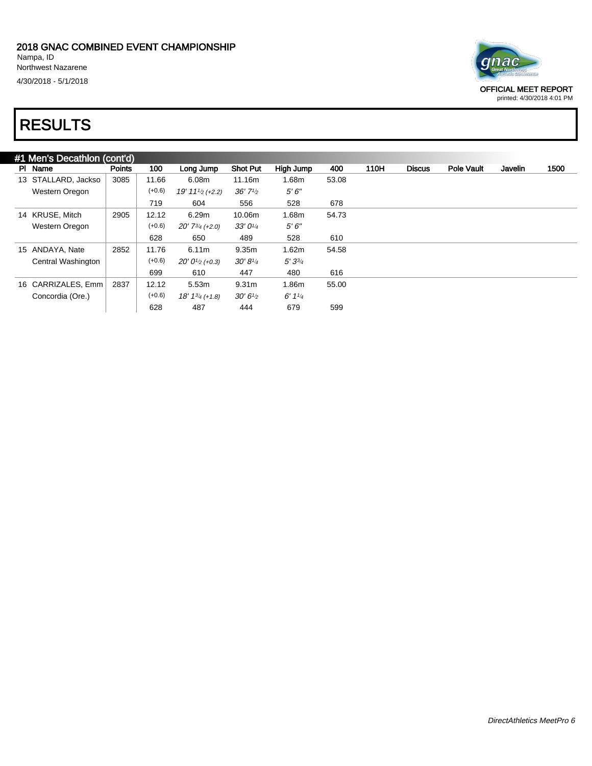

OFFICIAL MEET REPORT

printed: 4/30/2018 4:01 PM

### RESULTS

| #1 Men's Decathlon (cont'd) |               |          |                                            |                    |             |       |      |               |                   |         |      |
|-----------------------------|---------------|----------|--------------------------------------------|--------------------|-------------|-------|------|---------------|-------------------|---------|------|
| PI Name                     | <b>Points</b> | 100      | Lona Jump                                  | <b>Shot Put</b>    | High Jump   | 400   | 110H | <b>Discus</b> | <b>Pole Vault</b> | Javelin | 1500 |
| 13 STALLARD, Jackso         | 3085          | 11.66    | 6.08m                                      | 11.16m             | 1.68m       | 53.08 |      |               |                   |         |      |
| Western Oregon              |               | $(+0.6)$ | $19' 111/2$ (+2.2)                         | 36'7''             | 5'6''       |       |      |               |                   |         |      |
|                             |               | 719      | 604                                        | 556                | 528         | 678   |      |               |                   |         |      |
| 14 KRUSE, Mitch             | 2905          | 12.12    | 6.29m                                      | 10.06m             | 1.68m       | 54.73 |      |               |                   |         |      |
| Western Oregon              |               | $(+0.6)$ | $20'$ 7 <sup>3</sup> / <sub>4</sub> (+2.0) | 33'0''             | 5'6''       |       |      |               |                   |         |      |
|                             |               | 628      | 650                                        | 489                | 528         | 610   |      |               |                   |         |      |
| 15 ANDAYA, Nate             | 2852          | 11.76    | 6.11m                                      | 9.35m              | 1.62m       | 54.58 |      |               |                   |         |      |
| Central Washington          |               | $(+0.6)$ | $20'0_{\frac{1}{2}}$ (+0.3)                | $30' 8\frac{1}{4}$ | $5'3^{3/4}$ |       |      |               |                   |         |      |
|                             |               | 699      | 610                                        | 447                | 480         | 616   |      |               |                   |         |      |
| 16 CARRIZALES, Emm          | 2837          | 12.12    | 5.53m                                      | 9.31 <sub>m</sub>  | 1.86m       | 55.00 |      |               |                   |         |      |
| Concordia (Ore.)            |               | $(+0.6)$ | $18' 1^{3/4}$ (+1.8)                       | $30'6\frac{1}{2}$  | 6'11/4      |       |      |               |                   |         |      |
|                             |               | 628      | 487                                        | 444                | 679         | 599   |      |               |                   |         |      |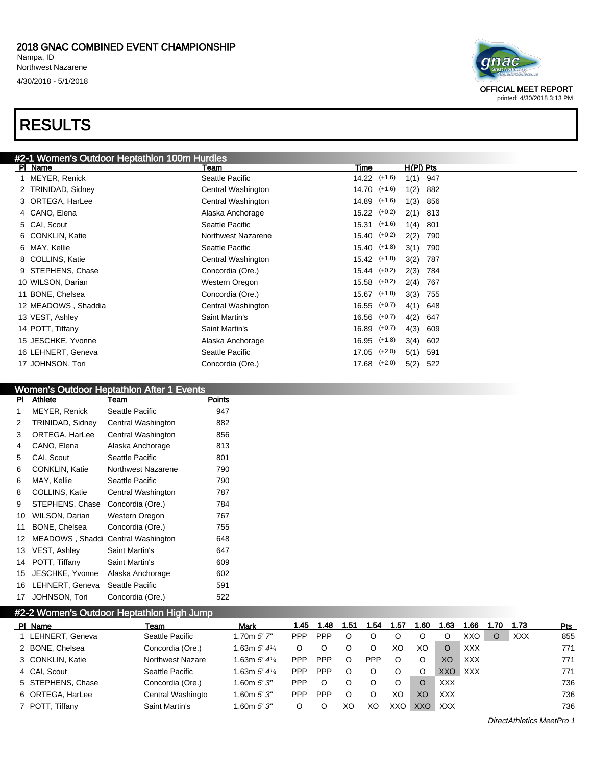#### 2018 GNAC COMBINED EVENT CHAMPIONSHIP Nampa, ID Northwest Nazarene 4/30/2018 - 5/1/2018

### RESULTS



| #2-1 Women's Outdoor Heptathlon 100m Hurdles |                    |                                  |  |
|----------------------------------------------|--------------------|----------------------------------|--|
| PI Name                                      | Team               | H(PI) Pts<br>Time                |  |
| MEYER, Renick                                | Seattle Pacific    | $14.22$ $(+1.6)$<br>1(1)<br>947  |  |
| 2 TRINIDAD, Sidney                           | Central Washington | $14.70$ $(+1.6)$<br>1(2)<br>882  |  |
| 3 ORTEGA, HarLee                             | Central Washington | $14.89$ $(+1.6)$<br>1(3)<br>856  |  |
| 4 CANO, Elena                                | Alaska Anchorage   | $15.22$ $(+0.2)$<br>2(1)<br>813  |  |
| 5 CAI, Scout                                 | Seattle Pacific    | $15.31$ $(+1.6)$<br>1(4)<br>801  |  |
| 6 CONKLIN, Katie                             | Northwest Nazarene | $15.40$ $(+0.2)$<br>2(2)<br>790  |  |
| 6 MAY, Kellie                                | Seattle Pacific    | $15.40$ $(+1.8)$<br>3(1)<br>790  |  |
| 8 COLLINS, Katie                             | Central Washington | $15.42$ $(+1.8)$<br>3(2)<br>787  |  |
| 9 STEPHENS, Chase                            | Concordia (Ore.)   | $15.44$ $(+0.2)$<br>2(3)<br>784  |  |
| 10 WILSON, Darian                            | Western Oregon     | $15.58$ $(+0.2)$<br>2(4)<br>767  |  |
| 11 BONE, Chelsea                             | Concordia (Ore.)   | $15.67$ $(+1.8)$<br>3(3)<br>755  |  |
| 12 MEADOWS, Shaddia                          | Central Washington | $16.55$ $(+0.7)$<br>4(1)<br>648  |  |
| 13 VEST, Ashley                              | Saint Martin's     | $16.56$ $(+0.7)$<br>4(2)<br>647  |  |
| 14 POTT, Tiffany                             | Saint Martin's     | $16.89$ $(+0.7)$<br>4(3)<br>609  |  |
| 15 JESCHKE, Yvonne                           | Alaska Anchorage   | $16.95$ $(+1.8)$<br>3(4)<br>602  |  |
| 16 LEHNERT, Geneva                           | Seattle Pacific    | $(+2.0)$<br>17.05<br>5(1)<br>591 |  |
| 17 JOHNSON, Tori                             | Concordia (Ore.)   | $17.68$ $(+2.0)$<br>5(2)<br>522  |  |

#### Women's Outdoor Heptathlon After 1 Events

| <b>PI</b> | Athlete                            | Team               | <b>Points</b> |
|-----------|------------------------------------|--------------------|---------------|
| 1         | MEYER, Renick                      | Seattle Pacific    | 947           |
| 2         | TRINIDAD, Sidney                   | Central Washington | 882           |
| 3         | ORTEGA, HarLee                     | Central Washington | 856           |
| 4         | CANO, Elena                        | Alaska Anchorage   | 813           |
| 5         | CAI, Scout                         | Seattle Pacific    | 801           |
| 6         | <b>CONKLIN, Katie</b>              | Northwest Nazarene | 790           |
| 6         | MAY, Kellie                        | Seattle Pacific    | 790           |
| 8         | COLLINS, Katie                     | Central Washington | 787           |
| 9         | STEPHENS, Chase                    | Concordia (Ore.)   | 784           |
| 10        | WILSON, Darian                     | Western Oregon     | 767           |
| 11        | BONE, Chelsea                      | Concordia (Ore.)   | 755           |
| 12        | MEADOWS, Shaddi Central Washington |                    | 648           |
|           | 13 VEST, Ashley                    | Saint Martin's     | 647           |
|           | 14 POTT, Tiffany                   | Saint Martin's     | 609           |
| 15        | JESCHKE, Yvonne                    | Alaska Anchorage   | 602           |
| 16        | LEHNERT, Geneva                    | Seattle Pacific    | 591           |
| 17        | JOHNSON, Tori                      | Concordia (Ore.)   | 522           |

### #2-2 Women's Outdoor Heptathlon High Jump

| PI Name           | <b>Team</b>             | <b>Mark</b>                | 1.45       | l.48       | 1.51 | .54 | . 57 | .60 | -63        | 1.66       | l.70    | 1.73       | Pts |
|-------------------|-------------------------|----------------------------|------------|------------|------|-----|------|-----|------------|------------|---------|------------|-----|
| LEHNERT, Geneva   | Seattle Pacific         | 1.70m 5'7''                | <b>PPP</b> | <b>PPP</b> |      |     |      |     |            | XXO        | $\circ$ | <b>XXX</b> | 855 |
| 2 BONE, Chelsea   | Concordia (Ore.)        | 1.63m $5'$ 4 $\frac{1}{4}$ |            |            |      |     | XО   | XO  |            | <b>XXX</b> |         |            | 771 |
| 3 CONKLIN, Katie  | <b>Northwest Nazare</b> | 1.63m $5'$ 4 $\frac{1}{4}$ | <b>PPP</b> | <b>PPP</b> | O    | PPP |      | O   | XO         | <b>XXX</b> |         |            | 771 |
| 4 CAI. Scout      | Seattle Pacific         | 1.63m $5'$ 4 $\frac{1}{4}$ | <b>PPP</b> | <b>PPP</b> |      |     |      | O   | XXQ        | XXX        |         |            | 771 |
| 5 STEPHENS, Chase | Concordia (Ore.)        | 1.60m5'3''                 | <b>PPP</b> |            |      |     |      | O   | XXX        |            |         |            | 736 |
| 6 ORTEGA, HarLee  | Central Washingto       | 1.60m $5'3''$              | <b>PPP</b> | <b>PPP</b> | O    |     | XО   | XO  | XXX.       |            |         |            | 736 |
| 7 POTT, Tiffany   | Saint Martin's          | .60m 5'3''                 |            |            | XΟ   | XO  | XXO  | XXO | <b>XXX</b> |            |         |            | 736 |

DirectAthletics MeetPro 1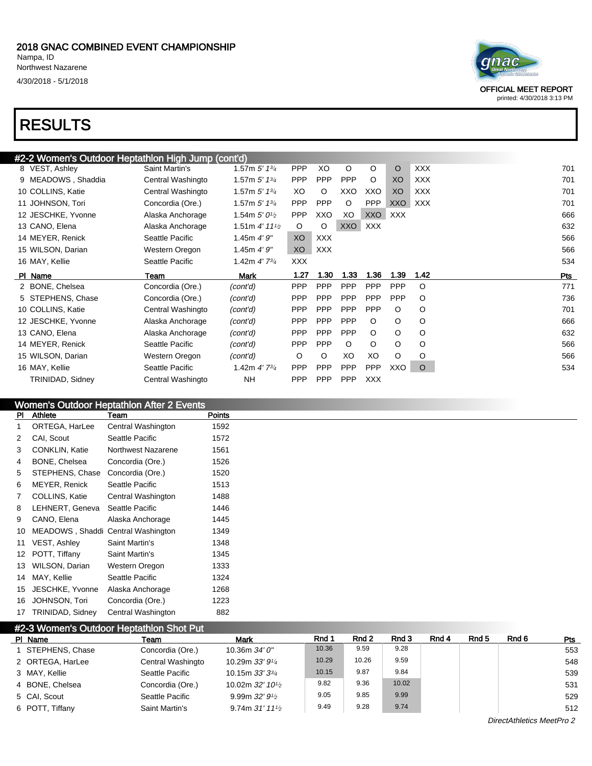### RESULTS

| #2-2 Women's Outdoor Heptathlon High Jump (cont'd) |                   |                             |            |            |            |            |            |            |  |
|----------------------------------------------------|-------------------|-----------------------------|------------|------------|------------|------------|------------|------------|--|
| 8 VEST, Ashley                                     | Saint Martin's    | 1.57m $5'$ 1 $\frac{3}{4}$  | <b>PPP</b> | XO         | $\circ$    | O          | O          | <b>XXX</b> |  |
| 9 MEADOWS, Shaddia                                 | Central Washingto | 1.57m $5'$ 1 $\frac{3}{4}$  | <b>PPP</b> | <b>PPP</b> | <b>PPP</b> | O          | XO         | <b>XXX</b> |  |
| 10 COLLINS, Katie                                  | Central Washingto | 1.57m 5' 13/4               | XO         | O          | XXO        | XXO        | XO         | <b>XXX</b> |  |
| 11 JOHNSON, Tori                                   | Concordia (Ore.)  | 1.57m $5'$ 1 $\frac{3}{4}$  | <b>PPP</b> | <b>PPP</b> | $\circ$    | <b>PPP</b> | XXO        | XXX        |  |
| 12 JESCHKE, Yvonne                                 | Alaska Anchorage  | 1.54m $5'0\frac{1}{2}$      | <b>PPP</b> | XXO        | XO         | <b>XXO</b> | <b>XXX</b> |            |  |
| 13 CANO, Elena                                     | Alaska Anchorage  | 1.51m $4'$ 11 $\frac{1}{2}$ | $\circ$    | O          | <b>XXO</b> | <b>XXX</b> |            |            |  |
| 14 MEYER, Renick                                   | Seattle Pacific   | 1.45m $4'9''$               | XO         | <b>XXX</b> |            |            |            |            |  |
| 15 WILSON, Darian                                  | Western Oregon    | 1.45m $4'9''$               | XO         | <b>XXX</b> |            |            |            |            |  |
| 16 MAY, Kellie                                     | Seattle Pacific   | 1.42m $4'$ 7 $^{3/4}$       | <b>XXX</b> |            |            |            |            |            |  |
| PI Name                                            | Team              | Mark                        | 1.27       | 1.30       | 1.33       | 1.36       | 1.39       | 1.42       |  |
| 2 BONE, Chelsea                                    | Concordia (Ore.)  | (cont'd)                    | <b>PPP</b> | <b>PPP</b> | <b>PPP</b> | <b>PPP</b> | <b>PPP</b> | O          |  |
| 5 STEPHENS, Chase                                  | Concordia (Ore.)  | (cont'd)                    | <b>PPP</b> | <b>PPP</b> | <b>PPP</b> | <b>PPP</b> | <b>PPP</b> | O          |  |
| 10 COLLINS, Katie                                  | Central Washingto | (cont'd)                    | <b>PPP</b> | <b>PPP</b> | <b>PPP</b> | <b>PPP</b> | O          | O          |  |
| 12 JESCHKE, Yvonne                                 | Alaska Anchorage  | (cont'd)                    | <b>PPP</b> | <b>PPP</b> | <b>PPP</b> | $\circ$    | O          | O          |  |
| 13 CANO, Elena                                     | Alaska Anchorage  | (cont'd)                    | <b>PPP</b> | PPP        | PPP        | O          | O          | O          |  |
| 14 MEYER, Renick                                   | Seattle Pacific   | (cont'd)                    | <b>PPP</b> | <b>PPP</b> | $\circ$    | O          | O          | O          |  |
| 15 WILSON, Darian                                  | Western Oregon    | (cont'd)                    | O          | O          | XO         | XO         | O          | O          |  |
| 16 MAY, Kellie                                     | Seattle Pacific   | 1.42m $4'$ 7 $^{3/4}$       | <b>PPP</b> | <b>PPP</b> | <b>PPP</b> | <b>PPP</b> | XXO        | $\circ$    |  |
| <b>TRINIDAD, Sidney</b>                            | Central Washingto | <b>NH</b>                   | <b>PPP</b> | <b>PPP</b> | <b>PPP</b> | <b>XXX</b> |            |            |  |

#### Women's Outdoor Heptathlon After 2 Events

| PI             | Athlete                            | Team               | <b>Points</b> |  |
|----------------|------------------------------------|--------------------|---------------|--|
| 1              | ORTEGA, HarLee                     | Central Washington | 1592          |  |
| $\overline{2}$ | CAI, Scout                         | Seattle Pacific    | 1572          |  |
| 3              | <b>CONKLIN, Katie</b>              | Northwest Nazarene | 1561          |  |
| 4              | BONE, Chelsea                      | Concordia (Ore.)   | 1526          |  |
| 5              | STEPHENS, Chase                    | Concordia (Ore.)   | 1520          |  |
| 6              | MEYER, Renick                      | Seattle Pacific    | 1513          |  |
| 7              | COLLINS, Katie                     | Central Washington | 1488          |  |
| 8              | LEHNERT, Geneva                    | Seattle Pacific    | 1446          |  |
| 9              | CANO, Elena                        | Alaska Anchorage   | 1445          |  |
| 10             | MEADOWS, Shaddi Central Washington |                    | 1349          |  |
| 11             | VEST, Ashley                       | Saint Martin's     | 1348          |  |
| 12             | POTT, Tiffany                      | Saint Martin's     | 1345          |  |
| 13             | WILSON, Darian                     | Western Oregon     | 1333          |  |
| 14             | MAY, Kellie                        | Seattle Pacific    | 1324          |  |
| 15             | JESCHKE, Yvonne                    | Alaska Anchorage   | 1268          |  |
| 16             | JOHNSON, Tori                      | Concordia (Ore.)   | 1223          |  |
| 17             | TRINIDAD, Sidney                   | Central Washington | 882           |  |

### #2-3 Women's Outdoor Heptathlon Shot Put

| PI Name           | Team              | <b>Mark</b>                                 | Rnd 1 | Rnd 2 | Rnd 3 | Rnd 4 | Rnd 5 | Rnd 6 | <b>Pts</b> |
|-------------------|-------------------|---------------------------------------------|-------|-------|-------|-------|-------|-------|------------|
| 1 STEPHENS, Chase | Concordia (Ore.)  | 10.36m $34'0''$                             | 10.36 | 9.59  | 9.28  |       |       |       | 553        |
| 2 ORTEGA, HarLee  | Central Washingto | 10.29m $33'9'4$                             | 10.29 | 10.26 | 9.59  |       |       |       | 548        |
| 3 MAY, Kellie     | Seattle Pacific   | 10.15m $33'3^{3}/4$                         | 10.15 | 9.87  | 9.84  |       |       |       | 539        |
| 4 BONE, Chelsea   | Concordia (Ore.)  | 10.02m $32'$ 10 <sup>1</sup> / <sub>2</sub> | 9.82  | 9.36  | 10.02 |       |       |       | 531        |
| 5 CAI, Scout      | Seattle Pacific   | 9.99m $32'$ $9\frac{1}{2}$                  | 9.05  | 9.85  | 9.99  |       |       |       | 529        |
| 6 POTT, Tiffany   | Saint Martin's    | 9.74m $31'$ 11 <sup>1</sup> / <sub>2</sub>  | 9.49  | 9.28  | 9.74  |       |       |       | 512        |

OFFICIAL MEET REPORT printed: 4/30/2018 3:13 PM

DirectAthletics MeetPro 2

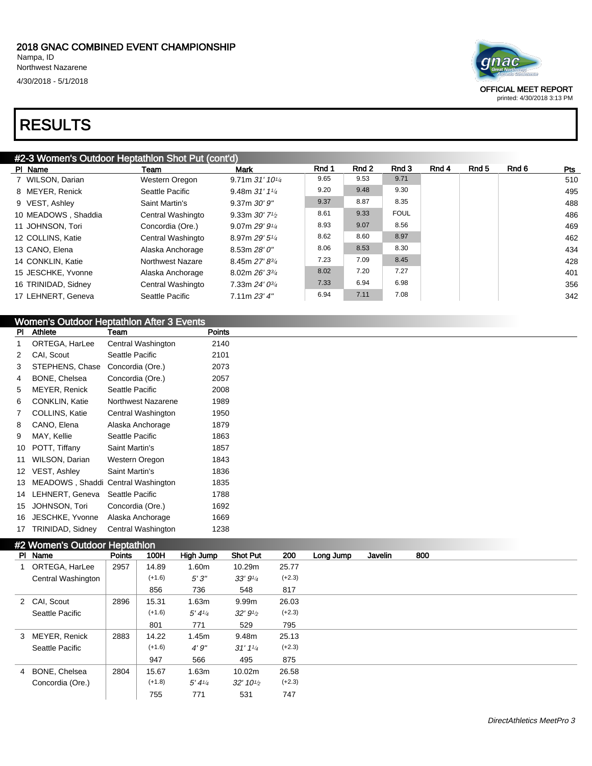### RESULTS

# mac

OFFICIAL MEET REPORT printed: 4/30/2018 3:13 PM

### #2-3 Women's Outdoor Heptathlon Shot Put (cont'd)

| PI Name             | Team              | Mark                                      | Rnd 1 | Rnd 2 | Rnd 3       | Rnd 4 | Rnd 5 | Rnd 6 | Pts |
|---------------------|-------------------|-------------------------------------------|-------|-------|-------------|-------|-------|-------|-----|
| 7 WILSON, Darian    | Western Oregon    | $9.71m$ 31' 10 <sup>1/4</sup>             | 9.65  | 9.53  | 9.71        |       |       |       | 510 |
| 8 MEYER, Renick     | Seattle Pacific   | 9.48m $31'11/4$                           | 9.20  | 9.48  | 9.30        |       |       |       | 495 |
| 9 VEST, Ashley      | Saint Martin's    | $9.37m$ $30'$ $9''$                       | 9.37  | 8.87  | 8.35        |       |       |       | 488 |
| 10 MEADOWS, Shaddia | Central Washingto | 9.33m $30'$ 7 <sup>1</sup> / <sub>2</sub> | 8.61  | 9.33  | <b>FOUL</b> |       |       |       | 486 |
| 11 JOHNSON, Tori    | Concordia (Ore.)  | 9.07m $29'9\frac{1}{4}$                   | 8.93  | 9.07  | 8.56        |       |       |       | 469 |
| 12 COLLINS, Katie   | Central Washingto | 8.97m $29'5\frac{1}{4}$                   | 8.62  | 8.60  | 8.97        |       |       |       | 462 |
| 13 CANO, Elena      | Alaska Anchorage  | 8.53m 28'0''                              | 8.06  | 8.53  | 8.30        |       |       |       | 434 |
| 14 CONKLIN, Katie   | Northwest Nazare  | 8.45m 27' 83/4                            | 7.23  | 7.09  | 8.45        |       |       |       | 428 |
| 15 JESCHKE, Yvonne  | Alaska Anchorage  | 8.02m $26'3^{3}/4$                        | 8.02  | 7.20  | 7.27        |       |       |       | 401 |
| 16 TRINIDAD, Sidney | Central Washingto | 7.33m $24'0^{3}/4$                        | 7.33  | 6.94  | 6.98        |       |       |       | 356 |
| 17 LEHNERT, Geneva  | Seattle Pacific   | 7.11m 23'4''                              | 6.94  | 7.11  | 7.08        |       |       |       | 342 |
|                     |                   |                                           |       |       |             |       |       |       |     |

### Women's Outdoor Heptathlon After 3 Events

| <b>PI</b>      | <b>Athlete</b>                     | Team               | <b>Points</b> |
|----------------|------------------------------------|--------------------|---------------|
|                | ORTEGA, HarLee                     | Central Washington | 2140          |
| 2              | CAI, Scout                         | Seattle Pacific    | 2101          |
| 3              | STEPHENS, Chase                    | Concordia (Ore.)   | 2073          |
| 4              | BONE, Chelsea                      | Concordia (Ore.)   | 2057          |
| 5              | MEYER, Renick                      | Seattle Pacific    | 2008          |
| 6              | <b>CONKLIN, Katie</b>              | Northwest Nazarene | 1989          |
| $\overline{7}$ | COLLINS, Katie                     | Central Washington | 1950          |
| 8              | CANO, Elena                        | Alaska Anchorage   | 1879          |
| 9              | MAY, Kellie                        | Seattle Pacific    | 1863          |
| 10             | POTT, Tiffany                      | Saint Martin's     | 1857          |
| 11             | WILSON, Darian                     | Western Oregon     | 1843          |
| 12             | VEST, Ashley                       | Saint Martin's     | 1836          |
| 13             | MEADOWS, Shaddi Central Washington |                    | 1835          |
| 14             | LEHNERT, Geneva                    | Seattle Pacific    | 1788          |
| 15             | JOHNSON, Tori                      | Concordia (Ore.)   | 1692          |
| 16             | JESCHKE, Yvonne                    | Alaska Anchorage   | 1669          |
| 17             | TRINIDAD, Sidney                   | Central Washington | 1238          |

#### #2 Women's Outdoor Heptathlon

|   | PI Name            | <b>Points</b> | 100H     | High Jump | <b>Shot Put</b>                   | 200      | Long Jump | Javelin | 800 |  |
|---|--------------------|---------------|----------|-----------|-----------------------------------|----------|-----------|---------|-----|--|
|   | ORTEGA, HarLee     | 2957          | 14.89    | 1.60m     | 10.29m                            | 25.77    |           |         |     |  |
|   | Central Washington |               | $(+1.6)$ | 5'3''     | 33' 9 <sup>1</sup> / <sub>4</sub> | $(+2.3)$ |           |         |     |  |
|   |                    |               | 856      | 736       | 548                               | 817      |           |         |     |  |
|   | 2 CAI, Scout       | 2896          | 15.31    | 1.63m     | 9.99m                             | 26.03    |           |         |     |  |
|   | Seattle Pacific    |               | $(+1.6)$ | 5'4''     | 32' 9 <sup>1</sup> / <sub>2</sub> | $(+2.3)$ |           |         |     |  |
|   |                    |               | 801      | 771       | 529                               | 795      |           |         |     |  |
| 3 | MEYER, Renick      | 2883          | 14.22    | 1.45m     | 9.48m                             | 25.13    |           |         |     |  |
|   | Seattle Pacific    |               | $(+1.6)$ | 4'9''     | $31'1^{1/4}$                      | $(+2.3)$ |           |         |     |  |
|   |                    |               | 947      | 566       | 495                               | 875      |           |         |     |  |
|   | 4 BONE, Chelsea    | 2804          | 15.67    | 1.63m     | 10.02m                            | 26.58    |           |         |     |  |
|   | Concordia (Ore.)   |               | $(+1.8)$ | 5'4''     | $32' 10\frac{1}{2}$               | $(+2.3)$ |           |         |     |  |
|   |                    |               | 755      | 771       | 531                               | 747      |           |         |     |  |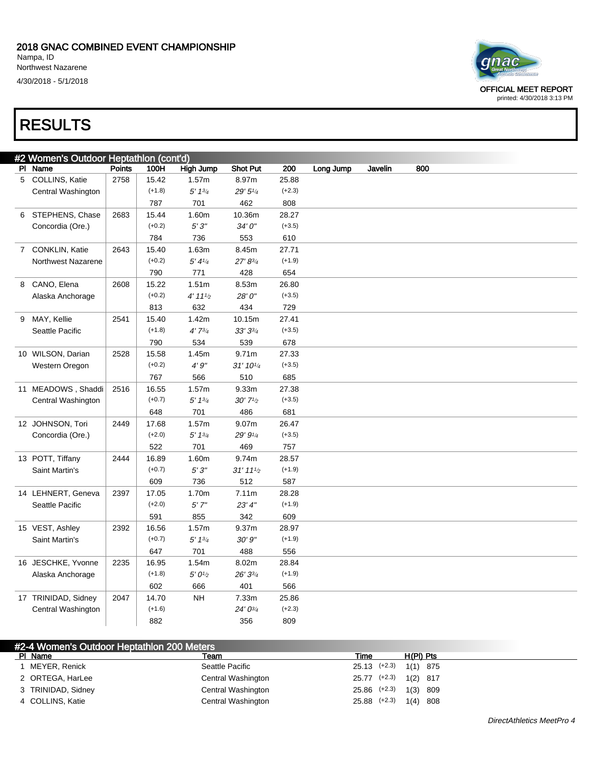

OFFICIAL MEET REPORT printed: 4/30/2018 3:13 PM

### RESULTS

|   | #2 Women's Outdoor Heptathlon (cont'd) |               |          |                                 |                        |          |           |         |     |  |  |
|---|----------------------------------------|---------------|----------|---------------------------------|------------------------|----------|-----------|---------|-----|--|--|
|   | PI Name                                | <b>Points</b> | 100H     | <b>High Jump</b>                | <b>Shot Put</b>        | 200      | Long Jump | Javelin | 800 |  |  |
|   | 5 COLLINS, Katie                       | 2758          | 15.42    | 1.57m                           | 8.97m                  | 25.88    |           |         |     |  |  |
|   | Central Washington                     |               | $(+1.8)$ | $5' 1^{3/4}$                    | 29' 51/4               | $(+2.3)$ |           |         |     |  |  |
|   |                                        |               | 787      | 701                             | 462                    | 808      |           |         |     |  |  |
| 6 | STEPHENS, Chase                        | 2683          | 15.44    | 1.60m                           | 10.36m                 | 28.27    |           |         |     |  |  |
|   | Concordia (Ore.)                       |               | $(+0.2)$ | 5'3''                           | 34' 0"                 | $(+3.5)$ |           |         |     |  |  |
|   |                                        |               | 784      | 736                             | 553                    | 610      |           |         |     |  |  |
|   | 7 CONKLIN, Katie                       | 2643          | 15.40    | 1.63m                           | 8.45m                  | 27.71    |           |         |     |  |  |
|   | Northwest Nazarene                     |               | $(+0.2)$ | 5' 41/4                         | 27' 83/4               | $(+1.9)$ |           |         |     |  |  |
|   |                                        |               | 790      | 771                             | 428                    | 654      |           |         |     |  |  |
| 8 | CANO, Elena                            | 2608          | 15.22    | 1.51 <sub>m</sub>               | 8.53m                  | 26.80    |           |         |     |  |  |
|   | Alaska Anchorage                       |               | $(+0.2)$ | 4' 11'                          | 28'0"                  | $(+3.5)$ |           |         |     |  |  |
|   |                                        |               | 813      | 632                             | 434                    | 729      |           |         |     |  |  |
|   | 9 MAY, Kellie                          | 2541          | 15.40    | 1.42m                           | 10.15m                 | 27.41    |           |         |     |  |  |
|   | Seattle Pacific                        |               | $(+1.8)$ | $4'7^{3/4}$                     | $33'3\frac{3}{4}$      | $(+3.5)$ |           |         |     |  |  |
|   |                                        |               | 790      | 534                             | 539                    | 678      |           |         |     |  |  |
|   | 10 WILSON, Darian                      | 2528          | 15.58    | 1.45m                           | 9.71m                  | 27.33    |           |         |     |  |  |
|   | Western Oregon                         |               | $(+0.2)$ | 4'9''                           | 31' 101/4              | $(+3.5)$ |           |         |     |  |  |
|   |                                        |               | 767      | 566                             | 510                    | 685      |           |         |     |  |  |
|   | 11 MEADOWS, Shaddi                     | 2516          | 16.55    | 1.57m                           | 9.33m                  | 27.38    |           |         |     |  |  |
|   | Central Washington                     |               | $(+0.7)$ | 5' 13/4                         | $30'$ $7\frac{1}{2}$   | $(+3.5)$ |           |         |     |  |  |
|   |                                        |               | 648      | 701                             | 486                    | 681      |           |         |     |  |  |
|   | 12 JOHNSON, Tori                       | 2449          | 17.68    | 1.57m                           | 9.07m                  | 26.47    |           |         |     |  |  |
|   | Concordia (Ore.)                       |               | $(+2.0)$ | 5' 13/4                         | 29' 91/4               | $(+3.5)$ |           |         |     |  |  |
|   |                                        |               | 522      | 701                             | 469                    | 757      |           |         |     |  |  |
|   | 13 POTT, Tiffany                       | 2444          | 16.89    | 1.60m                           | 9.74m                  | 28.57    |           |         |     |  |  |
|   | Saint Martin's                         |               | $(+0.7)$ | 5'3''                           | $31'$ 11 $\frac{1}{2}$ | $(+1.9)$ |           |         |     |  |  |
|   |                                        |               | 609      | 736                             | 512                    | 587      |           |         |     |  |  |
|   | 14 LEHNERT, Geneva                     | 2397          | 17.05    | 1.70m                           | 7.11m                  | 28.28    |           |         |     |  |  |
|   | Seattle Pacific                        |               | $(+2.0)$ | 5'7''                           | 23' 4''                | $(+1.9)$ |           |         |     |  |  |
|   |                                        |               | 591      | 855                             | 342                    | 609      |           |         |     |  |  |
|   | 15 VEST, Ashley                        | 2392          | 16.56    | 1.57m                           | 9.37m                  | 28.97    |           |         |     |  |  |
|   | Saint Martin's                         |               | $(+0.7)$ | 5' 13/4                         | 30'9''                 | $(+1.9)$ |           |         |     |  |  |
|   |                                        |               | 647      | 701                             | 488                    | 556      |           |         |     |  |  |
|   | 16 JESCHKE, Yvonne                     | 2235          | 16.95    | 1.54m                           | 8.02m                  | 28.84    |           |         |     |  |  |
|   | Alaska Anchorage                       |               | $(+1.8)$ | $5^\prime\,0\,{\prime\prime}_2$ | 26' 33/4               | $(+1.9)$ |           |         |     |  |  |
|   |                                        |               | 602      | 666                             | 401                    | 566      |           |         |     |  |  |
|   | 17 TRINIDAD, Sidney                    | 2047          | 14.70    | NH                              | 7.33m                  | 25.86    |           |         |     |  |  |
|   | Central Washington                     |               | $(+1.6)$ |                                 | 24' 03/4               | $(+2.3)$ |           |         |     |  |  |
|   |                                        |               | 882      |                                 | 356                    | 809      |           |         |     |  |  |

| #2-4 Women's Outdoor Heptathlon 200 Meters |                    |                  |                           |
|--------------------------------------------|--------------------|------------------|---------------------------|
| PI Name                                    | Team               | Time             | H(PI) Pts                 |
| MEYER, Renick                              | Seattle Pacific    |                  | $25.13$ (+2.3) $1(1)$ 875 |
| 2 ORTEGA, HarLee                           | Central Washington |                  | 25.77 (+2.3) 1(2) 817     |
| 3 TRINIDAD, Sidney                         | Central Washington | $25.86$ $(+2.3)$ | 1(3) 809                  |
| 4 COLLINS, Katie                           | Central Washington |                  | $25.88$ (+2.3) $1(4)$ 808 |